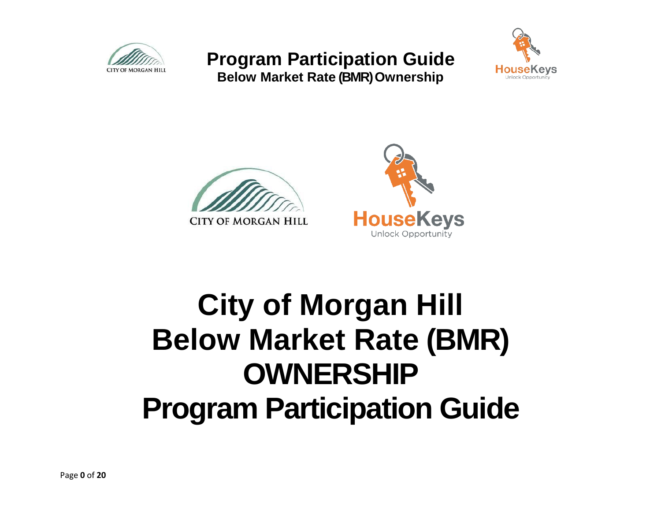

**Below Market Rate (BMR) Ownership**







# **City of Morgan Hill Below Market Rate (BMR) OWNERSHIP Program Participation Guide**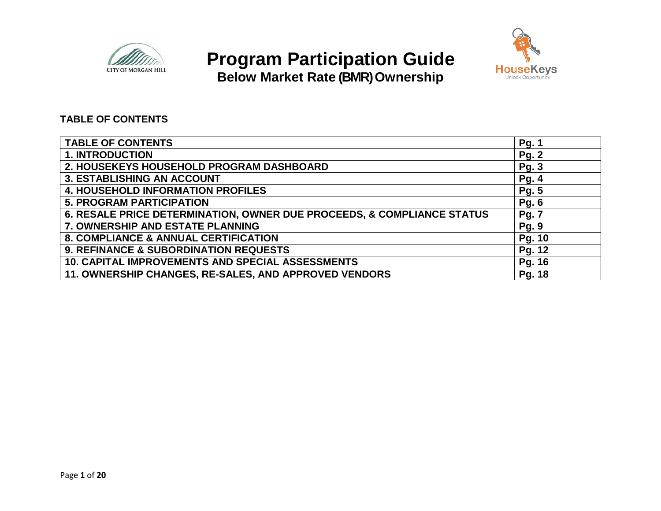

**Below Market Rate (BMR) Ownership**



### **TABLE OF CONTENTS**

| <b>TABLE OF CONTENTS</b>                                               | <b>Pg. 1</b> |
|------------------------------------------------------------------------|--------------|
| <b>1. INTRODUCTION</b>                                                 | <b>Pg. 2</b> |
| 2. HOUSEKEYS HOUSEHOLD PROGRAM DASHBOARD                               | <b>Pg. 3</b> |
| <b>3. ESTABLISHING AN ACCOUNT</b>                                      | <b>Pg. 4</b> |
| <b>4. HOUSEHOLD INFORMATION PROFILES</b>                               | <b>Pg. 5</b> |
| <b>5. PROGRAM PARTICIPATION</b>                                        | <b>Pg. 6</b> |
| 6. RESALE PRICE DETERMINATION, OWNER DUE PROCEEDS, & COMPLIANCE STATUS | <b>Pg. 7</b> |
| 7. OWNERSHIP AND ESTATE PLANNING                                       | <b>Pg. 9</b> |
| <b>8. COMPLIANCE &amp; ANNUAL CERTIFICATION</b>                        | Pg. 10       |
| <b>9. REFINANCE &amp; SUBORDINATION REQUESTS</b>                       | Pg. 12       |
| 10. CAPITAL IMPROVEMENTS AND SPECIAL ASSESSMENTS                       | Pg. 16       |
| 11. OWNERSHIP CHANGES, RE-SALES, AND APPROVED VENDORS                  | Pg. 18       |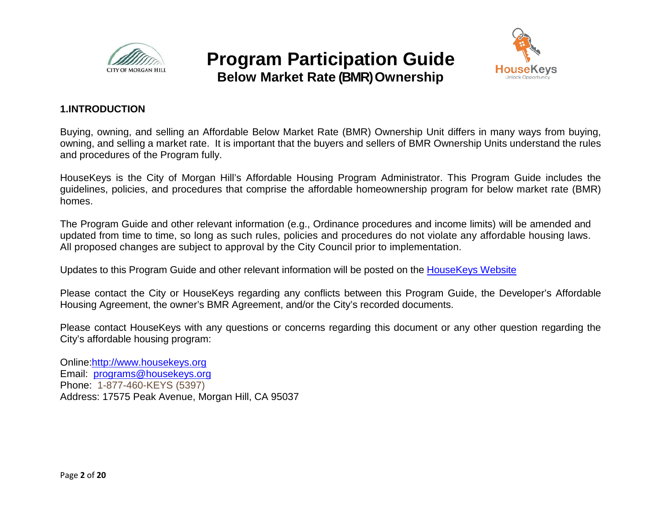



### **1.INTRODUCTION**

Buying, owning, and selling an Affordable Below Market Rate (BMR) Ownership Unit differs in many ways from buying, owning, and selling a market rate. It is important that the buyers and sellers of BMR Ownership Units understand the rules and procedures of the Program fully.

HouseKeys is the City of Morgan Hill's Affordable Housing Program Administrator. This Program Guide includes the guidelines, policies, and procedures that comprise the affordable homeownership program for below market rate (BMR) homes.

The Program Guide and other relevant information (e.g., Ordinance procedures and income limits) will be amended and updated from time to time, so long as such rules, policies and procedures do not violate any affordable housing laws. All proposed changes are subject to approval by the City Council prior to implementation.

Updates to this Program Guide and other relevant information will be posted on the [HouseKeys Website](http://www.housekeys.org/)

Please contact the City or HouseKeys regarding any conflicts between this Program Guide, the Developer's Affordable Housing Agreement, the owner's BMR Agreement, and/or the City's recorded documents.

Please contact HouseKeys with any questions or concerns regarding this document or any other question regarding the City's affordable housing program:

Online:http://www.housekeys.org Email: [programs@housekeys.org](mailto:programs@housekeys.org) Phone: 1-877-460-KEYS (5397) Address: 17575 Peak Avenue, Morgan Hill, CA 95037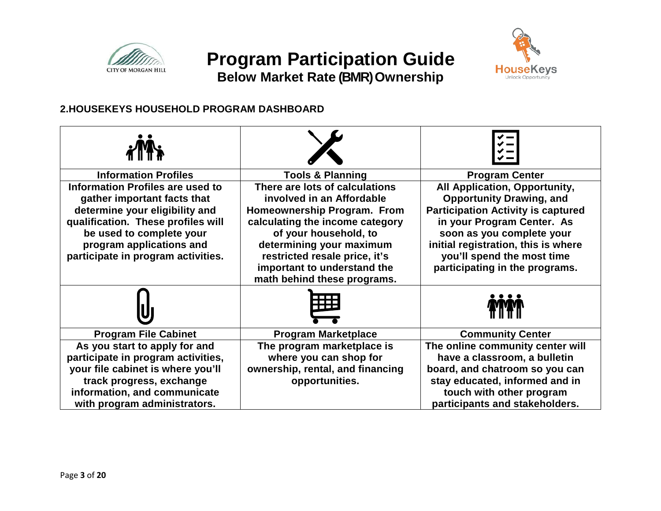

**Below Market Rate (BMR) Ownership**



### **2.HOUSEKEYS HOUSEHOLD PROGRAM DASHBOARD**

| <b>Tools &amp; Planning</b>                                                                                                                                                                                                                                                       | <b>Program Center</b>                                                                                                                                                                                                                                                           |
|-----------------------------------------------------------------------------------------------------------------------------------------------------------------------------------------------------------------------------------------------------------------------------------|---------------------------------------------------------------------------------------------------------------------------------------------------------------------------------------------------------------------------------------------------------------------------------|
| There are lots of calculations<br>involved in an Affordable<br>Homeownership Program. From<br>calculating the income category<br>of your household, to<br>determining your maximum<br>restricted resale price, it's<br>important to understand the<br>math behind these programs. | All Application, Opportunity,<br><b>Opportunity Drawing, and</b><br><b>Participation Activity is captured</b><br>in your Program Center. As<br>soon as you complete your<br>initial registration, this is where<br>you'll spend the most time<br>participating in the programs. |
|                                                                                                                                                                                                                                                                                   |                                                                                                                                                                                                                                                                                 |
| <b>Program Marketplace</b>                                                                                                                                                                                                                                                        | <b>Community Center</b>                                                                                                                                                                                                                                                         |
| where you can shop for<br>ownership, rental, and financing<br>opportunities.                                                                                                                                                                                                      | The online community center will<br>have a classroom, a bulletin<br>board, and chatroom so you can<br>stay educated, informed and in<br>touch with other program<br>participants and stakeholders.                                                                              |
|                                                                                                                                                                                                                                                                                   | The program marketplace is                                                                                                                                                                                                                                                      |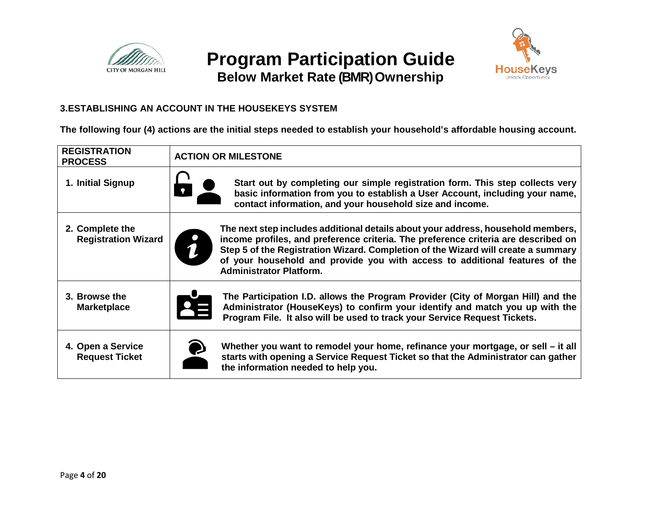



**Below Market Rate (BMR) Ownership**

### **3.ESTABLISHING AN ACCOUNT IN THE HOUSEKEYS SYSTEM**

**The following four (4) actions are the initial steps needed to establish your household's affordable housing account.** 

| <b>REGISTRATION</b><br><b>PROCESS</b>         | <b>ACTION OR MILESTONE</b>                                                                                                                                                                                                                                                                                                                                                   |  |
|-----------------------------------------------|------------------------------------------------------------------------------------------------------------------------------------------------------------------------------------------------------------------------------------------------------------------------------------------------------------------------------------------------------------------------------|--|
| 1. Initial Signup                             | Start out by completing our simple registration form. This step collects very<br>basic information from you to establish a User Account, including your name,<br>contact information, and your household size and income.                                                                                                                                                    |  |
| 2. Complete the<br><b>Registration Wizard</b> | The next step includes additional details about your address, household members,<br>income profiles, and preference criteria. The preference criteria are described on<br>Step 5 of the Registration Wizard. Completion of the Wizard will create a summary<br>of your household and provide you with access to additional features of the<br><b>Administrator Platform.</b> |  |
| 3. Browse the<br><b>Marketplace</b>           | The Participation I.D. allows the Program Provider (City of Morgan Hill) and the<br>Administrator (HouseKeys) to confirm your identify and match you up with the<br>Program File. It also will be used to track your Service Request Tickets.                                                                                                                                |  |
| 4. Open a Service<br><b>Request Ticket</b>    | Whether you want to remodel your home, refinance your mortgage, or sell – it all<br>starts with opening a Service Request Ticket so that the Administrator can gather<br>the information needed to help you.                                                                                                                                                                 |  |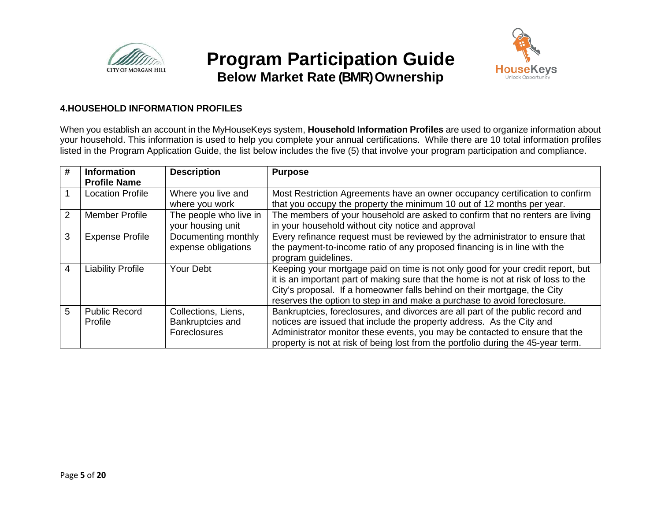

### **Below Market Rate (BMR) Ownership**



#### **4.HOUSEHOLD INFORMATION PROFILES**

When you establish an account in the MyHouseKeys system, **Household Information Profiles** are used to organize information about your household. This information is used to help you complete your annual certifications. While there are 10 total information profiles listed in the Program Application Guide, the list below includes the five (5) that involve your program participation and compliance.

| #             | <b>Information</b><br><b>Profile Name</b> | <b>Description</b>                                      | <b>Purpose</b>                                                                                                                                                                                                                                                                                                                |
|---------------|-------------------------------------------|---------------------------------------------------------|-------------------------------------------------------------------------------------------------------------------------------------------------------------------------------------------------------------------------------------------------------------------------------------------------------------------------------|
|               | <b>Location Profile</b>                   | Where you live and<br>where you work                    | Most Restriction Agreements have an owner occupancy certification to confirm<br>that you occupy the property the minimum 10 out of 12 months per year.                                                                                                                                                                        |
| $\mathcal{P}$ | Member Profile                            | The people who live in<br>your housing unit             | The members of your household are asked to confirm that no renters are living<br>in your household without city notice and approval                                                                                                                                                                                           |
| 3             | <b>Expense Profile</b>                    | Documenting monthly<br>expense obligations              | Every refinance request must be reviewed by the administrator to ensure that<br>the payment-to-income ratio of any proposed financing is in line with the<br>program guidelines.                                                                                                                                              |
| 4             | <b>Liability Profile</b>                  | Your Debt                                               | Keeping your mortgage paid on time is not only good for your credit report, but<br>it is an important part of making sure that the home is not at risk of loss to the<br>City's proposal. If a homeowner falls behind on their mortgage, the City<br>reserves the option to step in and make a purchase to avoid foreclosure. |
| 5             | <b>Public Record</b><br>Profile           | Collections, Liens,<br>Bankruptcies and<br>Foreclosures | Bankruptcies, foreclosures, and divorces are all part of the public record and<br>notices are issued that include the property address. As the City and<br>Administrator monitor these events, you may be contacted to ensure that the<br>property is not at risk of being lost from the portfolio during the 45-year term.   |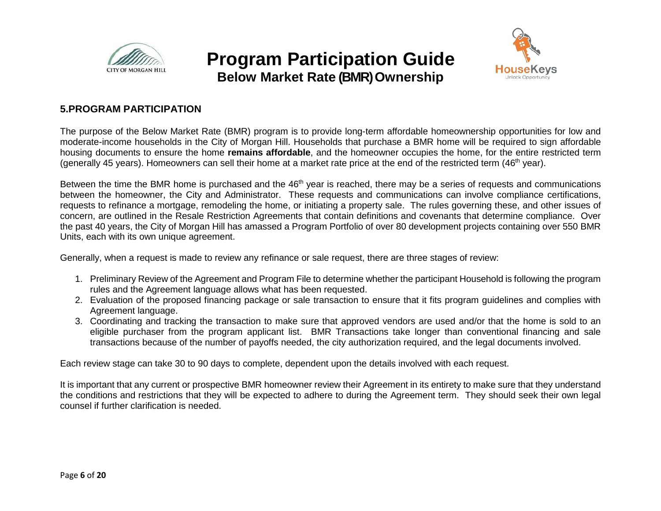



### **5.PROGRAM PARTICIPATION**

The purpose of the Below Market Rate (BMR) program is to provide long-term affordable homeownership opportunities for low and moderate-income households in the City of Morgan Hill. Households that purchase a BMR home will be required to sign affordable housing documents to ensure the home **remains affordable**, and the homeowner occupies the home, for the entire restricted term (generally 45 years). Homeowners can sell their home at a market rate price at the end of the restricted term  $(46<sup>th</sup>$  year).

Between the time the BMR home is purchased and the 46<sup>th</sup> year is reached, there may be a series of requests and communications between the homeowner, the City and Administrator. These requests and communications can involve compliance certifications, requests to refinance a mortgage, remodeling the home, or initiating a property sale. The rules governing these, and other issues of concern, are outlined in the Resale Restriction Agreements that contain definitions and covenants that determine compliance. Over the past 40 years, the City of Morgan Hill has amassed a Program Portfolio of over 80 development projects containing over 550 BMR Units, each with its own unique agreement.

Generally, when a request is made to review any refinance or sale request, there are three stages of review:

- 1. Preliminary Review of the Agreement and Program File to determine whether the participant Household is following the program rules and the Agreement language allows what has been requested.
- 2. Evaluation of the proposed financing package or sale transaction to ensure that it fits program guidelines and complies with Agreement language.
- 3. Coordinating and tracking the transaction to make sure that approved vendors are used and/or that the home is sold to an eligible purchaser from the program applicant list. BMR Transactions take longer than conventional financing and sale transactions because of the number of payoffs needed, the city authorization required, and the legal documents involved.

Each review stage can take 30 to 90 days to complete, dependent upon the details involved with each request.

It is important that any current or prospective BMR homeowner review their Agreement in its entirety to make sure that they understand the conditions and restrictions that they will be expected to adhere to during the Agreement term. They should seek their own legal counsel if further clarification is needed.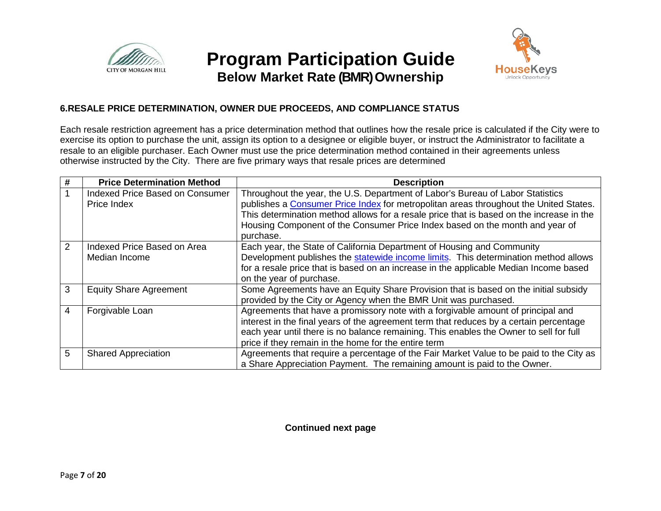

### **Below Market Rate (BMR) Ownership**



### **6.RESALE PRICE DETERMINATION, OWNER DUE PROCEEDS, AND COMPLIANCE STATUS**

Each resale restriction agreement has a price determination method that outlines how the resale price is calculated if the City were to exercise its option to purchase the unit, assign its option to a designee or eligible buyer, or instruct the Administrator to facilitate a resale to an eligible purchaser. Each Owner must use the price determination method contained in their agreements unless otherwise instructed by the City. There are five primary ways that resale prices are determined

|               | <b>Price Determination Method</b> | <b>Description</b>                                                                       |
|---------------|-----------------------------------|------------------------------------------------------------------------------------------|
|               | Indexed Price Based on Consumer   | Throughout the year, the U.S. Department of Labor's Bureau of Labor Statistics           |
|               | Price Index                       | publishes a Consumer Price Index for metropolitan areas throughout the United States.    |
|               |                                   | This determination method allows for a resale price that is based on the increase in the |
|               |                                   | Housing Component of the Consumer Price Index based on the month and year of             |
|               |                                   | purchase.                                                                                |
| $\mathcal{P}$ | Indexed Price Based on Area       | Each year, the State of California Department of Housing and Community                   |
|               | Median Income                     | Development publishes the statewide income limits. This determination method allows      |
|               |                                   | for a resale price that is based on an increase in the applicable Median Income based    |
|               |                                   | on the year of purchase.                                                                 |
| 3             | <b>Equity Share Agreement</b>     | Some Agreements have an Equity Share Provision that is based on the initial subsidy      |
|               |                                   | provided by the City or Agency when the BMR Unit was purchased.                          |
| 4             | Forgivable Loan                   | Agreements that have a promissory note with a forgivable amount of principal and         |
|               |                                   | interest in the final years of the agreement term that reduces by a certain percentage   |
|               |                                   | each year until there is no balance remaining. This enables the Owner to sell for full   |
|               |                                   | price if they remain in the home for the entire term                                     |
| 5             | <b>Shared Appreciation</b>        | Agreements that require a percentage of the Fair Market Value to be paid to the City as  |
|               |                                   | a Share Appreciation Payment. The remaining amount is paid to the Owner.                 |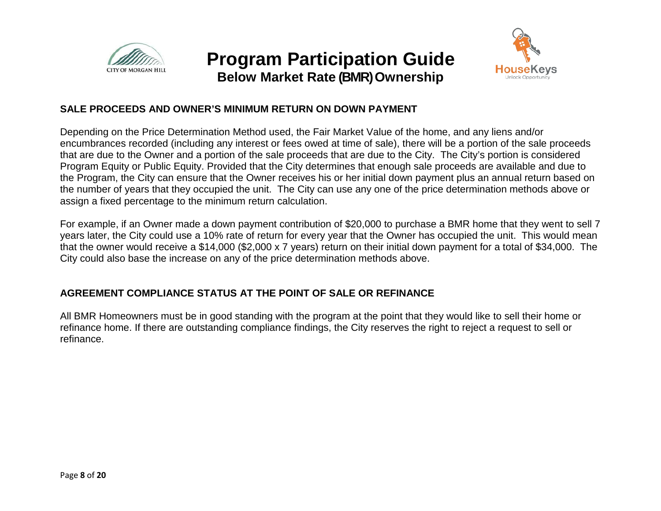



### **SALE PROCEEDS AND OWNER'S MINIMUM RETURN ON DOWN PAYMENT**

Depending on the Price Determination Method used, the Fair Market Value of the home, and any liens and/or encumbrances recorded (including any interest or fees owed at time of sale), there will be a portion of the sale proceeds that are due to the Owner and a portion of the sale proceeds that are due to the City. The City's portion is considered Program Equity or Public Equity. Provided that the City determines that enough sale proceeds are available and due to the Program, the City can ensure that the Owner receives his or her initial down payment plus an annual return based on the number of years that they occupied the unit. The City can use any one of the price determination methods above or assign a fixed percentage to the minimum return calculation.

For example, if an Owner made a down payment contribution of \$20,000 to purchase a BMR home that they went to sell 7 years later, the City could use a 10% rate of return for every year that the Owner has occupied the unit. This would mean that the owner would receive a \$14,000 (\$2,000 x 7 years) return on their initial down payment for a total of \$34,000. The City could also base the increase on any of the price determination methods above.

### **AGREEMENT COMPLIANCE STATUS AT THE POINT OF SALE OR REFINANCE**

All BMR Homeowners must be in good standing with the program at the point that they would like to sell their home or refinance home. If there are outstanding compliance findings, the City reserves the right to reject a request to sell or refinance.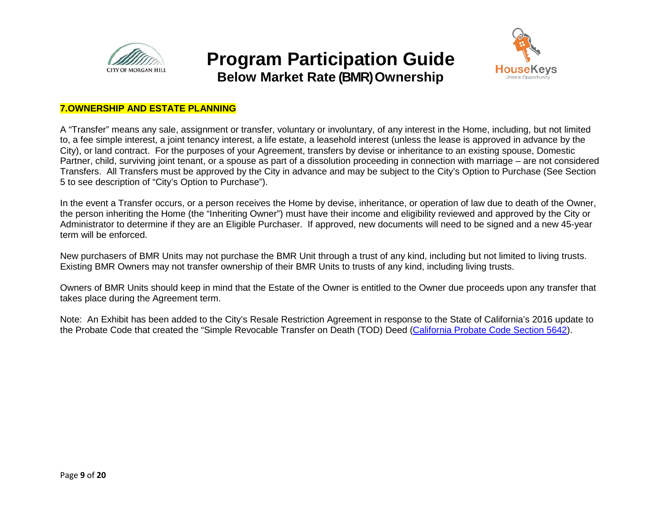

**Below Market Rate (BMR) Ownership**



### **7.OWNERSHIP AND ESTATE PLANNING**

A "Transfer" means any sale, assignment or transfer, voluntary or involuntary, of any interest in the Home, including, but not limited to, a fee simple interest, a joint tenancy interest, a life estate, a leasehold interest (unless the lease is approved in advance by the City), or land contract. For the purposes of your Agreement, transfers by devise or inheritance to an existing spouse, Domestic Partner, child, surviving joint tenant, or a spouse as part of a dissolution proceeding in connection with marriage – are not considered Transfers. All Transfers must be approved by the City in advance and may be subject to the City's Option to Purchase (See Section 5 to see description of "City's Option to Purchase").

In the event a Transfer occurs, or a person receives the Home by devise, inheritance, or operation of law due to death of the Owner, the person inheriting the Home (the "Inheriting Owner") must have their income and eligibility reviewed and approved by the City or Administrator to determine if they are an Eligible Purchaser. If approved, new documents will need to be signed and a new 45-year term will be enforced.

New purchasers of BMR Units may not purchase the BMR Unit through a trust of any kind, including but not limited to living trusts. Existing BMR Owners may not transfer ownership of their BMR Units to trusts of any kind, including living trusts.

Owners of BMR Units should keep in mind that the Estate of the Owner is entitled to the Owner due proceeds upon any transfer that takes place during the Agreement term.

Note: An Exhibit has been added to the City's Resale Restriction Agreement in response to the State of California's 2016 update to the Probate Code that created the "Simple Revocable Transfer on Death (TOD) Deed [\(California Probate Code Section 5642\)](http://leginfo.legislature.ca.gov/faces/codes_displaySection.xhtml?lawCode=PROB§ionNum=5642).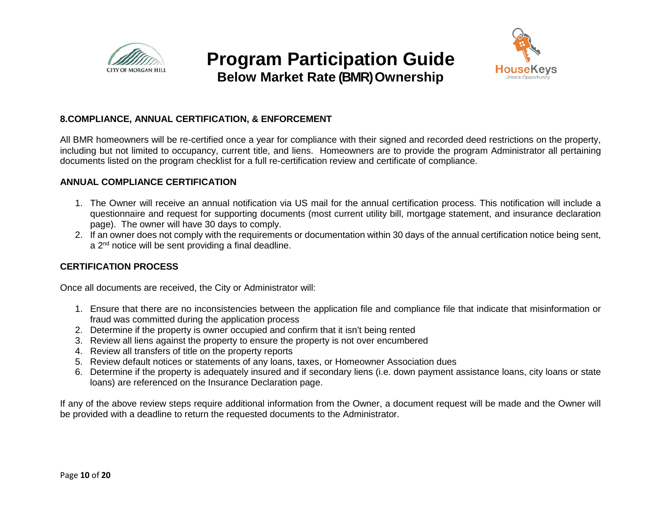

**Below Market Rate (BMR) Ownership**



### **8.COMPLIANCE, ANNUAL CERTIFICATION, & ENFORCEMENT**

All BMR homeowners will be re-certified once a year for compliance with their signed and recorded deed restrictions on the property, including but not limited to occupancy, current title, and liens. Homeowners are to provide the program Administrator all pertaining documents listed on the program checklist for a full re-certification review and certificate of compliance.

#### **ANNUAL COMPLIANCE CERTIFICATION**

- 1. The Owner will receive an annual notification via US mail for the annual certification process. This notification will include a questionnaire and request for supporting documents (most current utility bill, mortgage statement, and insurance declaration page). The owner will have 30 days to comply.
- 2. If an owner does not comply with the requirements or documentation within 30 days of the annual certification notice being sent, a 2<sup>nd</sup> notice will be sent providing a final deadline.

### **CERTIFICATION PROCESS**

Once all documents are received, the City or Administrator will:

- 1. Ensure that there are no inconsistencies between the application file and compliance file that indicate that misinformation or fraud was committed during the application process
- 2. Determine if the property is owner occupied and confirm that it isn't being rented
- 3. Review all liens against the property to ensure the property is not over encumbered
- 4. Review all transfers of title on the property reports
- 5. Review default notices or statements of any loans, taxes, or Homeowner Association dues
- 6. Determine if the property is adequately insured and if secondary liens (i.e. down payment assistance loans, city loans or state loans) are referenced on the Insurance Declaration page.

If any of the above review steps require additional information from the Owner, a document request will be made and the Owner will be provided with a deadline to return the requested documents to the Administrator.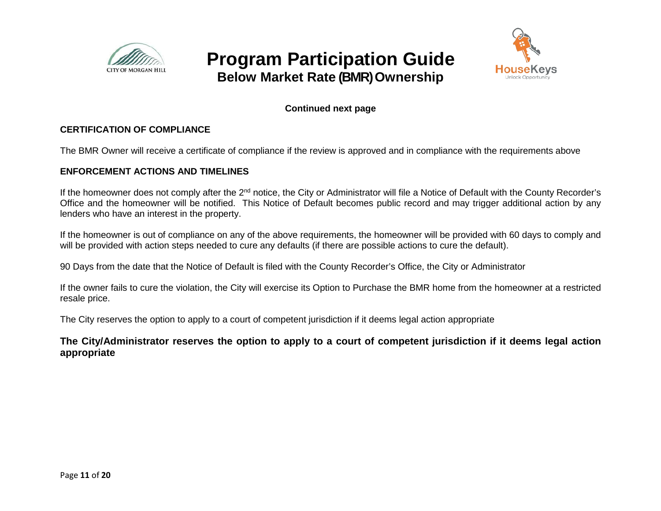



### **Continued next page**

### **CERTIFICATION OF COMPLIANCE**

The BMR Owner will receive a certificate of compliance if the review is approved and in compliance with the requirements above

#### **ENFORCEMENT ACTIONS AND TIMELINES**

If the homeowner does not comply after the  $2<sup>nd</sup>$  notice, the City or Administrator will file a Notice of Default with the County Recorder's Office and the homeowner will be notified. This Notice of Default becomes public record and may trigger additional action by any lenders who have an interest in the property.

If the homeowner is out of compliance on any of the above requirements, the homeowner will be provided with 60 days to comply and will be provided with action steps needed to cure any defaults (if there are possible actions to cure the default).

90 Days from the date that the Notice of Default is filed with the County Recorder's Office, the City or Administrator

If the owner fails to cure the violation, the City will exercise its Option to Purchase the BMR home from the homeowner at a restricted resale price.

The City reserves the option to apply to a court of competent jurisdiction if it deems legal action appropriate

### **The City/Administrator reserves the option to apply to a court of competent jurisdiction if it deems legal action appropriate**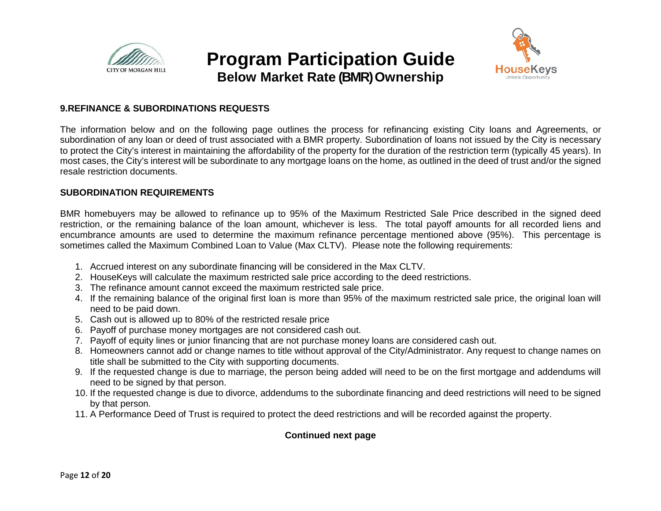

**Below Market Rate (BMR) Ownership**



#### **9.REFINANCE & SUBORDINATIONS REQUESTS**

The information below and on the following page outlines the process for refinancing existing City loans and Agreements, or subordination of any loan or deed of trust associated with a BMR property. Subordination of loans not issued by the City is necessary to protect the City's interest in maintaining the affordability of the property for the duration of the restriction term (typically 45 years). In most cases, the City's interest will be subordinate to any mortgage loans on the home, as outlined in the deed of trust and/or the signed resale restriction documents.

#### **SUBORDINATION REQUIREMENTS**

BMR homebuyers may be allowed to refinance up to 95% of the Maximum Restricted Sale Price described in the signed deed restriction, or the remaining balance of the loan amount, whichever is less. The total payoff amounts for all recorded liens and encumbrance amounts are used to determine the maximum refinance percentage mentioned above (95%). This percentage is sometimes called the Maximum Combined Loan to Value (Max CLTV). Please note the following requirements:

- 1. Accrued interest on any subordinate financing will be considered in the Max CLTV.
- 2. HouseKeys will calculate the maximum restricted sale price according to the deed restrictions.
- 3. The refinance amount cannot exceed the maximum restricted sale price.
- 4. If the remaining balance of the original first loan is more than 95% of the maximum restricted sale price, the original loan will need to be paid down.
- 5. Cash out is allowed up to 80% of the restricted resale price
- 6. Payoff of purchase money mortgages are not considered cash out.
- 7. Payoff of equity lines or junior financing that are not purchase money loans are considered cash out.
- 8. Homeowners cannot add or change names to title without approval of the City/Administrator. Any request to change names on title shall be submitted to the City with supporting documents.
- 9. If the requested change is due to marriage, the person being added will need to be on the first mortgage and addendums will need to be signed by that person.
- 10. If the requested change is due to divorce, addendums to the subordinate financing and deed restrictions will need to be signed by that person.
- 11. A Performance Deed of Trust is required to protect the deed restrictions and will be recorded against the property.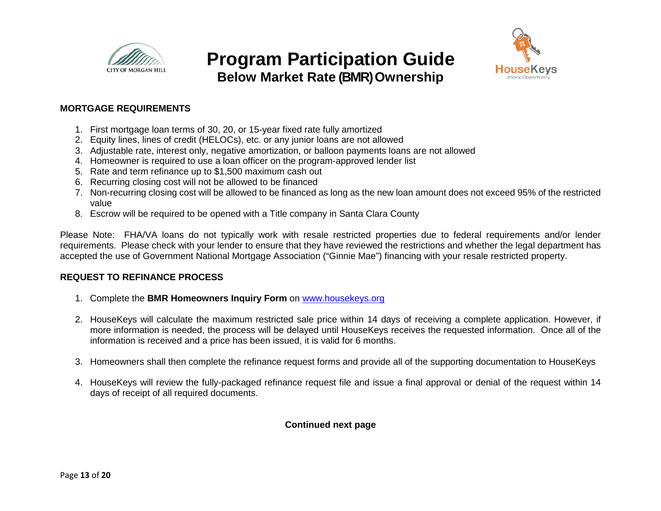



### **Below Market Rate (BMR) Ownership**

### **MORTGAGE REQUIREMENTS**

- 1. First mortgage loan terms of 30, 20, or 15-year fixed rate fully amortized
- 2. Equity lines, lines of credit (HELOCs), etc. or any junior loans are not allowed
- 3. Adjustable rate, interest only, negative amortization, or balloon payments loans are not allowed
- 4. Homeowner is required to use a loan officer on the program-approved lender list
- 5. Rate and term refinance up to \$1,500 maximum cash out
- 6. Recurring closing cost will not be allowed to be financed
- 7. Non-recurring closing cost will be allowed to be financed as long as the new loan amount does not exceed 95% of the restricted value
- 8. Escrow will be required to be opened with a Title company in Santa Clara County

Please Note: FHA/VA loans do not typically work with resale restricted properties due to federal requirements and/or lender requirements. Please check with your lender to ensure that they have reviewed the restrictions and whether the legal department has accepted the use of Government National Mortgage Association ("Ginnie Mae") financing with your resale restricted property.

### **REQUEST TO REFINANCE PROCESS**

- 1. Complete the **BMR Homeowners Inquiry Form** on [www.housekeys.org](http://www.housekeys.org/)
- 2. HouseKeys will calculate the maximum restricted sale price within 14 days of receiving a complete application. However, if more information is needed, the process will be delayed until HouseKeys receives the requested information. Once all of the information is received and a price has been issued, it is valid for 6 months.
- 3. Homeowners shall then complete the refinance request forms and provide all of the supporting documentation to HouseKeys
- 4. HouseKeys will review the fully-packaged refinance request file and issue a final approval or denial of the request within 14 days of receipt of all required documents.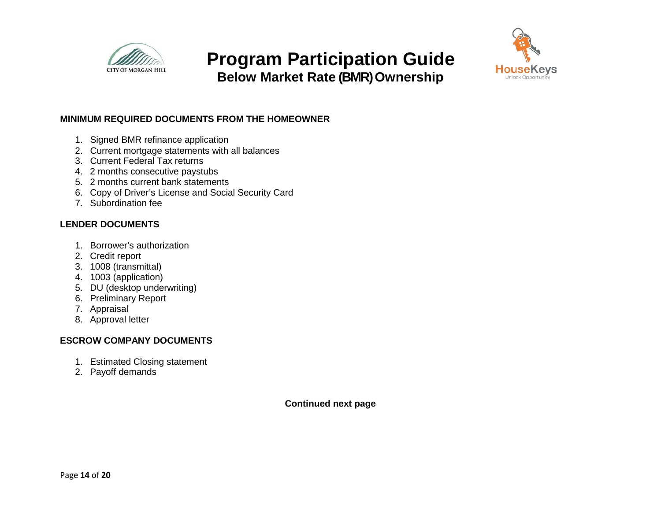

**Below Market Rate (BMR) Ownership**



### **MINIMUM REQUIRED DOCUMENTS FROM THE HOMEOWNER**

- 1. Signed BMR refinance application
- 2. Current mortgage statements with all balances
- 3. Current Federal Tax returns
- 4. 2 months consecutive paystubs
- 5. 2 months current bank statements
- 6. Copy of Driver's License and Social Security Card
- 7. Subordination fee

### **LENDER DOCUMENTS**

- 1. Borrower's authorization
- 2. Credit report
- 3. 1008 (transmittal)
- 4. 1003 (application)
- 5. DU (desktop underwriting)
- 6. Preliminary Report
- 7. Appraisal
- 8. Approval letter

### **ESCROW COMPANY DOCUMENTS**

- 1. Estimated Closing statement
- 2. Payoff demands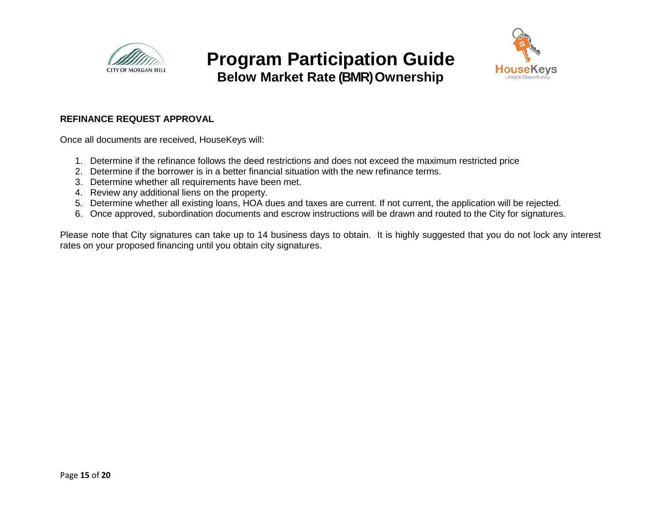

### **Below Market Rate (BMR) Ownership**

#### **REFINANCE REQUEST APPROVAL**

Once all documents are received, HouseKeys will:

- 1. Determine if the refinance follows the deed restrictions and does not exceed the maximum restricted price
- 2. Determine if the borrower is in a better financial situation with the new refinance terms.
- 3. Determine whether all requirements have been met.
- 4. Review any additional liens on the property.
- 5. Determine whether all existing loans, HOA dues and taxes are current. If not current, the application will be rejected.
- 6. Once approved, subordination documents and escrow instructions will be drawn and routed to the City for signatures.

Please note that City signatures can take up to 14 business days to obtain. It is highly suggested that you do not lock any interest rates on your proposed financing until you obtain city signatures.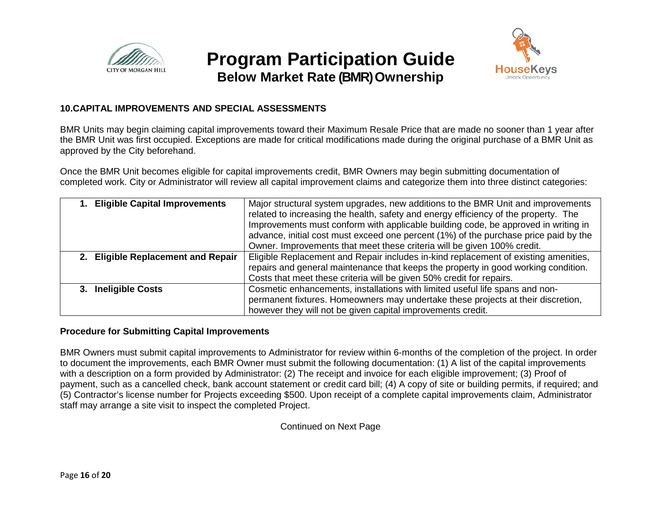



### **Below Market Rate (BMR) Ownership**

### **10.CAPITAL IMPROVEMENTS AND SPECIAL ASSESSMENTS**

BMR Units may begin claiming capital improvements toward their Maximum Resale Price that are made no sooner than 1 year after the BMR Unit was first occupied. Exceptions are made for critical modifications made during the original purchase of a BMR Unit as approved by the City beforehand.

Once the BMR Unit becomes eligible for capital improvements credit, BMR Owners may begin submitting documentation of completed work. City or Administrator will review all capital improvement claims and categorize them into three distinct categories:

| 1. Eligible Capital Improvements   | Major structural system upgrades, new additions to the BMR Unit and improvements     |
|------------------------------------|--------------------------------------------------------------------------------------|
|                                    | related to increasing the health, safety and energy efficiency of the property. The  |
|                                    | Improvements must conform with applicable building code, be approved in writing in   |
|                                    | advance, initial cost must exceed one percent (1%) of the purchase price paid by the |
|                                    | Owner. Improvements that meet these criteria will be given 100% credit.              |
| 2. Eligible Replacement and Repair | Eligible Replacement and Repair includes in-kind replacement of existing amenities,  |
|                                    | repairs and general maintenance that keeps the property in good working condition.   |
|                                    | Costs that meet these criteria will be given 50% credit for repairs.                 |
| 3. Ineligible Costs                | Cosmetic enhancements, installations with limited useful life spans and non-         |
|                                    | permanent fixtures. Homeowners may undertake these projects at their discretion,     |
|                                    | however they will not be given capital improvements credit.                          |

#### **Procedure for Submitting Capital Improvements**

BMR Owners must submit capital improvements to Administrator for review within 6-months of the completion of the project. In order to document the improvements, each BMR Owner must submit the following documentation: (1) A list of the capital improvements with a description on a form provided by Administrator: (2) The receipt and invoice for each eligible improvement; (3) Proof of payment, such as a cancelled check, bank account statement or credit card bill; (4) A copy of site or building permits, if required; and (5) Contractor's license number for Projects exceeding \$500. Upon receipt of a complete capital improvements claim, Administrator staff may arrange a site visit to inspect the completed Project.

Continued on Next Page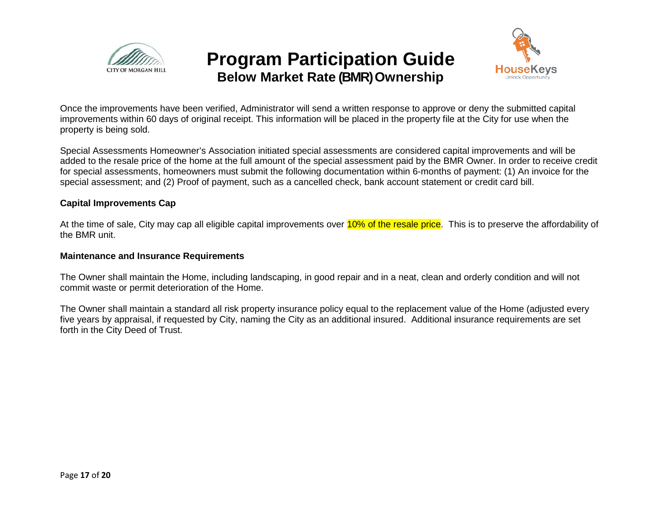



Once the improvements have been verified, Administrator will send a written response to approve or deny the submitted capital improvements within 60 days of original receipt. This information will be placed in the property file at the City for use when the property is being sold.

Special Assessments Homeowner's Association initiated special assessments are considered capital improvements and will be added to the resale price of the home at the full amount of the special assessment paid by the BMR Owner. In order to receive credit for special assessments, homeowners must submit the following documentation within 6-months of payment: (1) An invoice for the special assessment; and (2) Proof of payment, such as a cancelled check, bank account statement or credit card bill.

#### **Capital Improvements Cap**

At the time of sale, City may cap all eligible capital improvements over 10% of the resale price. This is to preserve the affordability of the BMR unit.

#### **Maintenance and Insurance Requirements**

The Owner shall maintain the Home, including landscaping, in good repair and in a neat, clean and orderly condition and will not commit waste or permit deterioration of the Home.

The Owner shall maintain a standard all risk property insurance policy equal to the replacement value of the Home (adjusted every five years by appraisal, if requested by City, naming the City as an additional insured. Additional insurance requirements are set forth in the City Deed of Trust.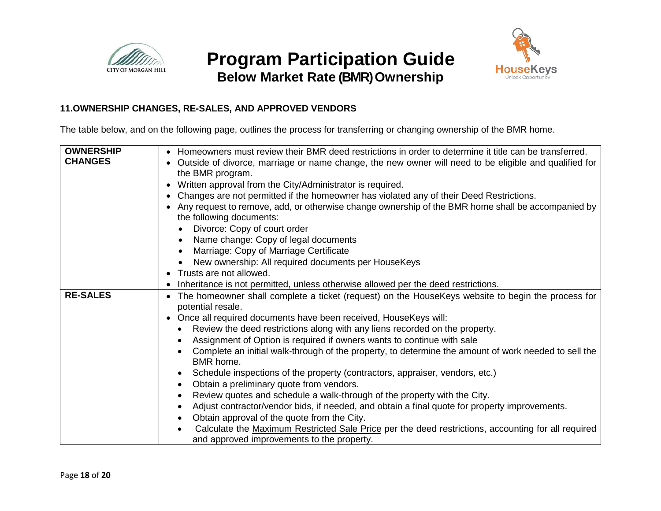



### **Below Market Rate (BMR) Ownership**

### **11.OWNERSHIP CHANGES, RE-SALES, AND APPROVED VENDORS**

The table below, and on the following page, outlines the process for transferring or changing ownership of the BMR home.

| <b>OWNERSHIP</b> | • Homeowners must review their BMR deed restrictions in order to determine it title can be transferred.                |
|------------------|------------------------------------------------------------------------------------------------------------------------|
| <b>CHANGES</b>   |                                                                                                                        |
|                  | Outside of divorce, marriage or name change, the new owner will need to be eligible and qualified for                  |
|                  | the BMR program.                                                                                                       |
|                  | Written approval from the City/Administrator is required.                                                              |
|                  | Changes are not permitted if the homeowner has violated any of their Deed Restrictions.                                |
|                  | Any request to remove, add, or otherwise change ownership of the BMR home shall be accompanied by                      |
|                  | the following documents:                                                                                               |
|                  | Divorce: Copy of court order                                                                                           |
|                  | Name change: Copy of legal documents                                                                                   |
|                  | Marriage: Copy of Marriage Certificate                                                                                 |
|                  | New ownership: All required documents per HouseKeys                                                                    |
|                  | • Trusts are not allowed.                                                                                              |
|                  | Inheritance is not permitted, unless otherwise allowed per the deed restrictions.                                      |
| <b>RE-SALES</b>  | The homeowner shall complete a ticket (request) on the HouseKeys website to begin the process for<br>potential resale. |
|                  | Once all required documents have been received, HouseKeys will:                                                        |
|                  | Review the deed restrictions along with any liens recorded on the property.                                            |
|                  | Assignment of Option is required if owners wants to continue with sale                                                 |
|                  | Complete an initial walk-through of the property, to determine the amount of work needed to sell the<br>BMR home.      |
|                  | Schedule inspections of the property (contractors, appraiser, vendors, etc.)<br>$\bullet$                              |
|                  | Obtain a preliminary quote from vendors.<br>$\bullet$                                                                  |
|                  | Review quotes and schedule a walk-through of the property with the City.                                               |
|                  | $\bullet$                                                                                                              |
|                  | Adjust contractor/vendor bids, if needed, and obtain a final quote for property improvements.                          |
|                  | Obtain approval of the quote from the City.                                                                            |
|                  | Calculate the Maximum Restricted Sale Price per the deed restrictions, accounting for all required                     |
|                  | and approved improvements to the property.                                                                             |